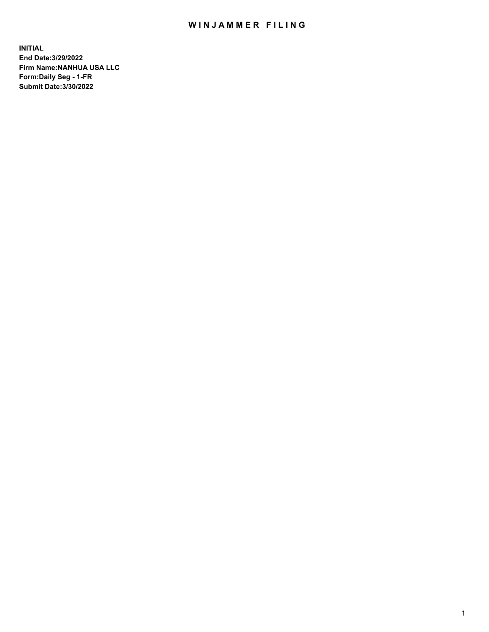# WIN JAMMER FILING

**INITIAL End Date:3/29/2022 Firm Name:NANHUA USA LLC Form:Daily Seg - 1-FR Submit Date:3/30/2022**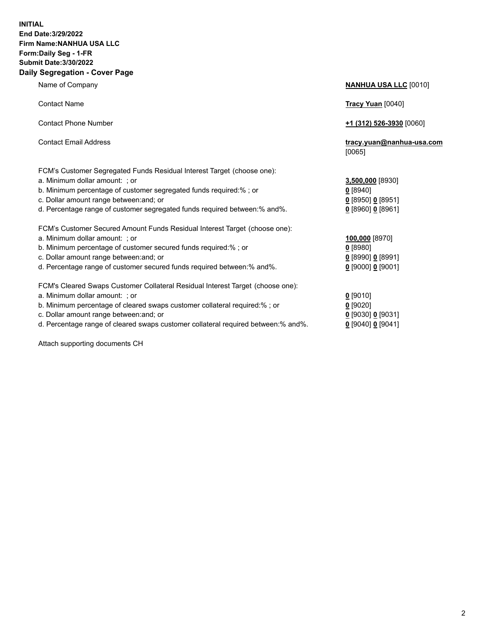### **INITIAL End Date:3/29/2022 Firm Name:NANHUA USA LLC Form:Daily Seg - 1-FR Submit Date:3/30/2022 Daily Segregation - Cover Page**

Name of Company **NANHUA USA LLC** [0010] Contact Name **Tracy Yuan** [0040] Contact Phone Number **+1 (312) 526-3930** [0060] Contact Email Address **tracy.yuan@nanhua-usa.com** [0065] FCM's Customer Segregated Funds Residual Interest Target (choose one): a. Minimum dollar amount: ; or **3,500,000** [8930] b. Minimum percentage of customer segregated funds required:% ; or **0** [8940] c. Dollar amount range between:and; or **0** [8950] **0** [8951] d. Percentage range of customer segregated funds required between:% and%. **0** [8960] **0** [8961] FCM's Customer Secured Amount Funds Residual Interest Target (choose one): a. Minimum dollar amount: ; or **100,000** [8970] b. Minimum percentage of customer secured funds required:% ; or **0** [8980] c. Dollar amount range between:and; or **0** [8990] **0** [8991] d. Percentage range of customer secured funds required between:% and%. **0** [9000] **0** [9001] FCM's Cleared Swaps Customer Collateral Residual Interest Target (choose one): a. Minimum dollar amount: ; or **0 g** b. Minimum percentage of cleared swaps customer collateral required:% ; or **0** c. Dollar amount range between:and; or **0** [9030] **0** [9031] d. Percentage range of cleared swaps customer collateral required between:% and%. **0** [9041]

Attach supporting documents CH

| [9010]                 |
|------------------------|
| [9020]                 |
| [9030] <u>0</u> [9031] |
| 190401 <b>0</b> 190411 |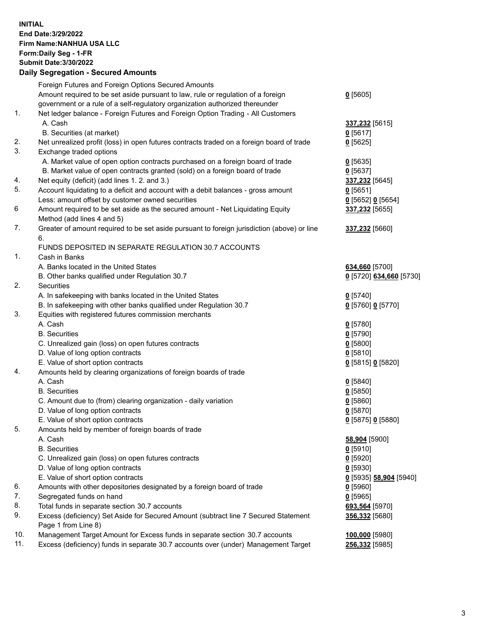**INITIAL End Date:3/29/2022 Firm Name:NANHUA USA LLC Form:Daily Seg - 1-FR Submit Date:3/30/2022**

## **Daily Segregation - Secured Amounts**

|     | Foreign Futures and Foreign Options Secured Amounts                                                          |                         |
|-----|--------------------------------------------------------------------------------------------------------------|-------------------------|
|     | Amount required to be set aside pursuant to law, rule or regulation of a foreign                             | $0$ [5605]              |
|     | government or a rule of a self-regulatory organization authorized thereunder                                 |                         |
| 1.  | Net ledger balance - Foreign Futures and Foreign Option Trading - All Customers                              |                         |
|     | A. Cash                                                                                                      | 337,232 [5615]          |
|     | B. Securities (at market)                                                                                    | $0$ [5617]              |
| 2.  | Net unrealized profit (loss) in open futures contracts traded on a foreign board of trade                    | $0$ [5625]              |
| 3.  | Exchange traded options                                                                                      |                         |
|     | A. Market value of open option contracts purchased on a foreign board of trade                               | $0$ [5635]              |
|     | B. Market value of open contracts granted (sold) on a foreign board of trade                                 | $0$ [5637]              |
| 4.  | Net equity (deficit) (add lines 1. 2. and 3.)                                                                |                         |
| 5.  |                                                                                                              | 337,232 [5645]          |
|     | Account liquidating to a deficit and account with a debit balances - gross amount                            | $0$ [5651]              |
|     | Less: amount offset by customer owned securities                                                             | 0 [5652] 0 [5654]       |
| 6   | Amount required to be set aside as the secured amount - Net Liquidating Equity<br>Method (add lines 4 and 5) | 337,232 [5655]          |
| 7.  | Greater of amount required to be set aside pursuant to foreign jurisdiction (above) or line                  | 337,232 [5660]          |
|     | 6.                                                                                                           |                         |
|     | FUNDS DEPOSITED IN SEPARATE REGULATION 30.7 ACCOUNTS                                                         |                         |
| 1.  | Cash in Banks                                                                                                |                         |
|     | A. Banks located in the United States                                                                        | 634,660 [5700]          |
|     | B. Other banks qualified under Regulation 30.7                                                               | 0 [5720] 634,660 [5730] |
| 2.  | <b>Securities</b>                                                                                            |                         |
|     | A. In safekeeping with banks located in the United States                                                    | $0$ [5740]              |
|     | B. In safekeeping with other banks qualified under Regulation 30.7                                           | 0 [5760] 0 [5770]       |
| 3.  | Equities with registered futures commission merchants                                                        |                         |
|     | A. Cash                                                                                                      | $0$ [5780]              |
|     | <b>B.</b> Securities                                                                                         | $0$ [5790]              |
|     | C. Unrealized gain (loss) on open futures contracts                                                          | $0$ [5800]              |
|     | D. Value of long option contracts                                                                            | $0$ [5810]              |
|     | E. Value of short option contracts                                                                           |                         |
| 4.  |                                                                                                              | 0 [5815] 0 [5820]       |
|     | Amounts held by clearing organizations of foreign boards of trade<br>A. Cash                                 |                         |
|     |                                                                                                              | $0$ [5840]              |
|     | <b>B.</b> Securities                                                                                         | $0$ [5850]              |
|     | C. Amount due to (from) clearing organization - daily variation                                              | 0[5860]                 |
|     | D. Value of long option contracts                                                                            | $0$ [5870]              |
|     | E. Value of short option contracts                                                                           | 0 [5875] 0 [5880]       |
| 5.  | Amounts held by member of foreign boards of trade                                                            |                         |
|     | A. Cash                                                                                                      | 58,904 [5900]           |
|     | <b>B.</b> Securities                                                                                         | $0$ [5910]              |
|     | C. Unrealized gain (loss) on open futures contracts                                                          | $0$ [5920]              |
|     | D. Value of long option contracts                                                                            | $0$ [5930]              |
|     | E. Value of short option contracts                                                                           | 0 [5935] 58,904 [5940]  |
| 6.  | Amounts with other depositories designated by a foreign board of trade                                       | $0$ [5960]              |
| 7.  | Segregated funds on hand                                                                                     | $0$ [5965]              |
| 8.  | Total funds in separate section 30.7 accounts                                                                | 693,564 [5970]          |
| 9.  | Excess (deficiency) Set Aside for Secured Amount (subtract line 7 Secured Statement                          | 356,332 [5680]          |
|     | Page 1 from Line 8)                                                                                          |                         |
| 10. | Management Target Amount for Excess funds in separate section 30.7 accounts                                  | 100,000 [5980]          |
| 11. | Excess (deficiency) funds in separate 30.7 accounts over (under) Management Target                           | 256,332 [5985]          |
|     |                                                                                                              |                         |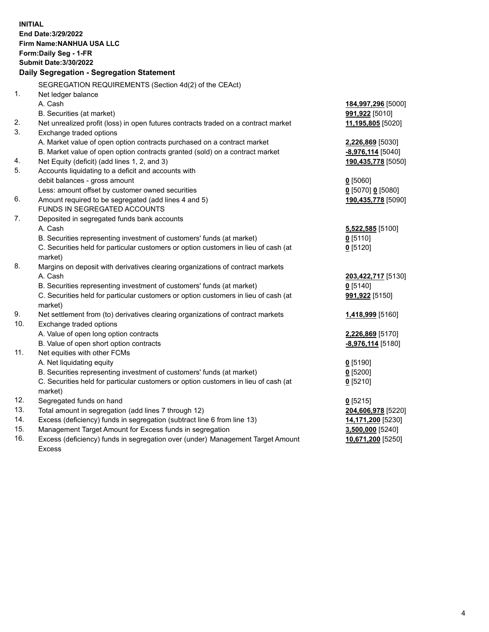**INITIAL End Date:3/29/2022 Firm Name:NANHUA USA LLC Form:Daily Seg - 1-FR Submit Date:3/30/2022 Daily Segregation - Segregation Statement** SEGREGATION REQUIREMENTS (Section 4d(2) of the CEAct) 1. Net ledger balance A. Cash **184,997,296** [5000] B. Securities (at market) **991,922** [5010] 2. Net unrealized profit (loss) in open futures contracts traded on a contract market **11,195,805** [5020] 3. Exchange traded options A. Market value of open option contracts purchased on a contract market **2,226,869** [5030] B. Market value of open option contracts granted (sold) on a contract market **-8,976,114** [5040] 4. Net Equity (deficit) (add lines 1, 2, and 3) **190,435,778** [5050] 5. Accounts liquidating to a deficit and accounts with debit balances - gross amount **0** [5060] Less: amount offset by customer owned securities **0** [5070] **0** [5080] 6. Amount required to be segregated (add lines 4 and 5) **190,435,778** [5090] FUNDS IN SEGREGATED ACCOUNTS 7. Deposited in segregated funds bank accounts A. Cash **5,522,585** [5100] B. Securities representing investment of customers' funds (at market) **0** [5110] C. Securities held for particular customers or option customers in lieu of cash (at market) **0** [5120] 8. Margins on deposit with derivatives clearing organizations of contract markets A. Cash **203,422,717** [5130] B. Securities representing investment of customers' funds (at market) **0** [5140] C. Securities held for particular customers or option customers in lieu of cash (at market) **991,922** [5150] 9. Net settlement from (to) derivatives clearing organizations of contract markets **1,418,999** [5160] 10. Exchange traded options A. Value of open long option contracts **2,226,869** [5170] B. Value of open short option contracts **-8,976,114** [5180] 11. Net equities with other FCMs A. Net liquidating equity **0** [5190] B. Securities representing investment of customers' funds (at market) **0** [5200] C. Securities held for particular customers or option customers in lieu of cash (at market) **0** [5210] 12. Segregated funds on hand **0** [5215] 13. Total amount in segregation (add lines 7 through 12) **204,606,978** [5220] 14. Excess (deficiency) funds in segregation (subtract line 6 from line 13) **14,171,200** [5230] 15. Management Target Amount for Excess funds in segregation **3,500,000** [5240] 16. Excess (deficiency) funds in segregation over (under) Management Target Amount Excess **10,671,200** [5250]